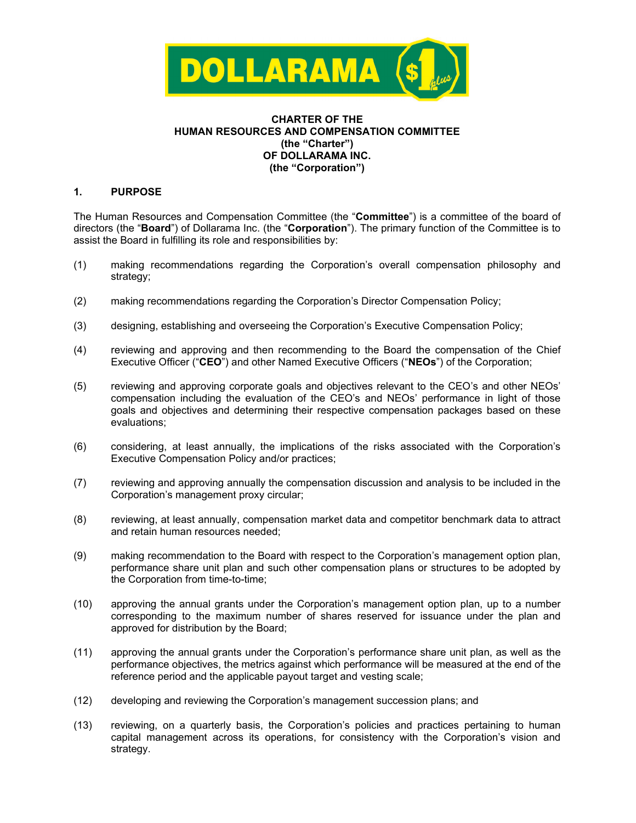

## **CHARTER OF THE HUMAN RESOURCES AND COMPENSATION COMMITTEE (the "Charter") OF DOLLARAMA INC. (the "Corporation")**

## **1. PURPOSE**

The Human Resources and Compensation Committee (the "**Committee**") is a committee of the board of directors (the "**Board**") of Dollarama Inc. (the "**Corporation**"). The primary function of the Committee is to assist the Board in fulfilling its role and responsibilities by:

- (1) making recommendations regarding the Corporation's overall compensation philosophy and strategy;
- (2) making recommendations regarding the Corporation's Director Compensation Policy;
- (3) designing, establishing and overseeing the Corporation's Executive Compensation Policy;
- (4) reviewing and approving and then recommending to the Board the compensation of the Chief Executive Officer ("**CEO**") and other Named Executive Officers ("**NEOs**") of the Corporation;
- (5) reviewing and approving corporate goals and objectives relevant to the CEO's and other NEOs' compensation including the evaluation of the CEO's and NEOs' performance in light of those goals and objectives and determining their respective compensation packages based on these evaluations;
- (6) considering, at least annually, the implications of the risks associated with the Corporation's Executive Compensation Policy and/or practices;
- (7) reviewing and approving annually the compensation discussion and analysis to be included in the Corporation's management proxy circular;
- (8) reviewing, at least annually, compensation market data and competitor benchmark data to attract and retain human resources needed;
- (9) making recommendation to the Board with respect to the Corporation's management option plan, performance share unit plan and such other compensation plans or structures to be adopted by the Corporation from time-to-time;
- (10) approving the annual grants under the Corporation's management option plan, up to a number corresponding to the maximum number of shares reserved for issuance under the plan and approved for distribution by the Board;
- (11) approving the annual grants under the Corporation's performance share unit plan, as well as the performance objectives, the metrics against which performance will be measured at the end of the reference period and the applicable payout target and vesting scale;
- (12) developing and reviewing the Corporation's management succession plans; and
- (13) reviewing, on a quarterly basis, the Corporation's policies and practices pertaining to human capital management across its operations, for consistency with the Corporation's vision and strategy.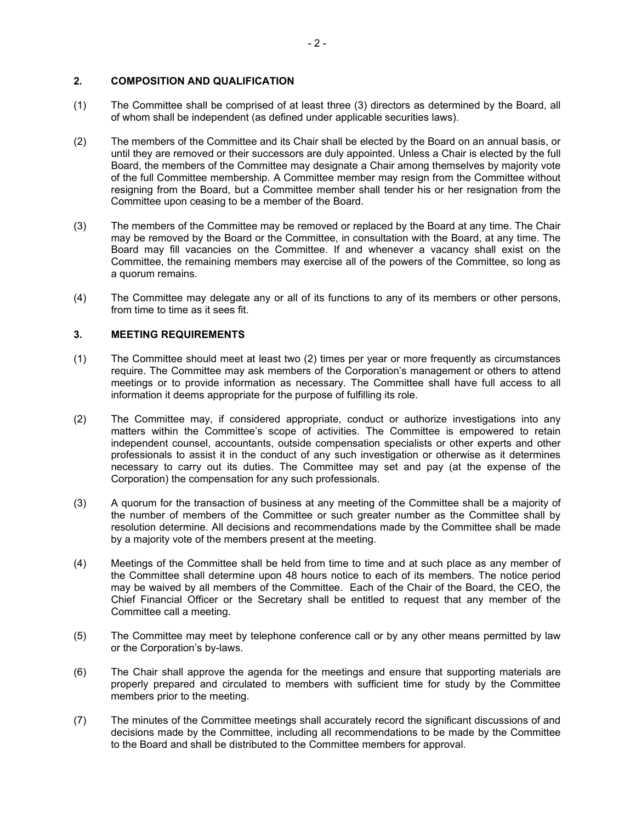## **2. COMPOSITION AND QUALIFICATION**

- (1) The Committee shall be comprised of at least three (3) directors as determined by the Board, all of whom shall be independent (as defined under applicable securities laws).
- (2) The members of the Committee and its Chair shall be elected by the Board on an annual basis, or until they are removed or their successors are duly appointed. Unless a Chair is elected by the full Board, the members of the Committee may designate a Chair among themselves by majority vote of the full Committee membership. A Committee member may resign from the Committee without resigning from the Board, but a Committee member shall tender his or her resignation from the Committee upon ceasing to be a member of the Board.
- (3) The members of the Committee may be removed or replaced by the Board at any time. The Chair may be removed by the Board or the Committee, in consultation with the Board, at any time. The Board may fill vacancies on the Committee. If and whenever a vacancy shall exist on the Committee, the remaining members may exercise all of the powers of the Committee, so long as a quorum remains.
- (4) The Committee may delegate any or all of its functions to any of its members or other persons, from time to time as it sees fit.

## **3. MEETING REQUIREMENTS**

- (1) The Committee should meet at least two (2) times per year or more frequently as circumstances require. The Committee may ask members of the Corporation's management or others to attend meetings or to provide information as necessary. The Committee shall have full access to all information it deems appropriate for the purpose of fulfilling its role.
- (2) The Committee may, if considered appropriate, conduct or authorize investigations into any matters within the Committee's scope of activities. The Committee is empowered to retain independent counsel, accountants, outside compensation specialists or other experts and other professionals to assist it in the conduct of any such investigation or otherwise as it determines necessary to carry out its duties. The Committee may set and pay (at the expense of the Corporation) the compensation for any such professionals.
- (3) A quorum for the transaction of business at any meeting of the Committee shall be a majority of the number of members of the Committee or such greater number as the Committee shall by resolution determine. All decisions and recommendations made by the Committee shall be made by a majority vote of the members present at the meeting.
- (4) Meetings of the Committee shall be held from time to time and at such place as any member of the Committee shall determine upon 48 hours notice to each of its members. The notice period may be waived by all members of the Committee. Each of the Chair of the Board, the CEO, the Chief Financial Officer or the Secretary shall be entitled to request that any member of the Committee call a meeting.
- (5) The Committee may meet by telephone conference call or by any other means permitted by law or the Corporation's by-laws.
- (6) The Chair shall approve the agenda for the meetings and ensure that supporting materials are properly prepared and circulated to members with sufficient time for study by the Committee members prior to the meeting.
- (7) The minutes of the Committee meetings shall accurately record the significant discussions of and decisions made by the Committee, including all recommendations to be made by the Committee to the Board and shall be distributed to the Committee members for approval.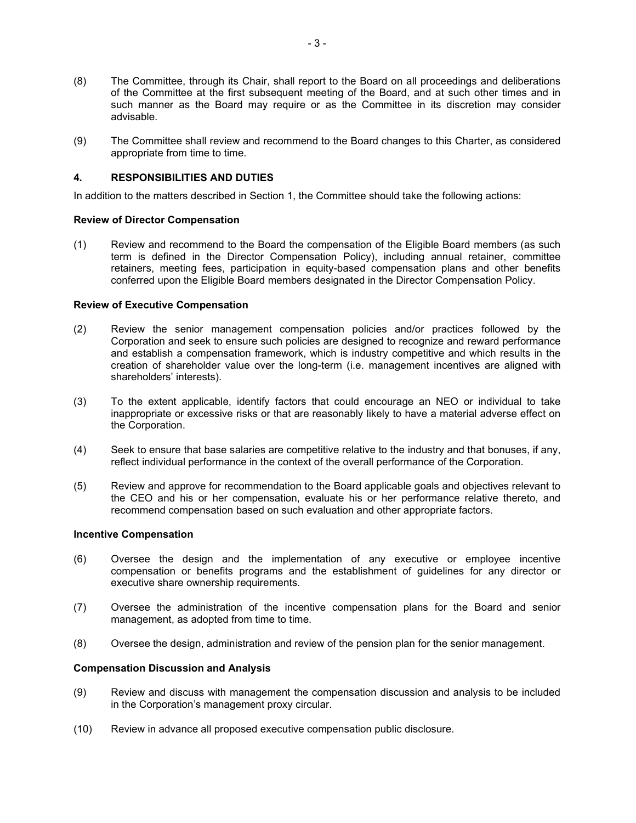- (8) The Committee, through its Chair, shall report to the Board on all proceedings and deliberations of the Committee at the first subsequent meeting of the Board, and at such other times and in such manner as the Board may require or as the Committee in its discretion may consider advisable.
- (9) The Committee shall review and recommend to the Board changes to this Charter, as considered appropriate from time to time.

## **4. RESPONSIBILITIES AND DUTIES**

In addition to the matters described in Section 1, the Committee should take the following actions:

### **Review of Director Compensation**

(1) Review and recommend to the Board the compensation of the Eligible Board members (as such term is defined in the Director Compensation Policy), including annual retainer, committee retainers, meeting fees, participation in equity-based compensation plans and other benefits conferred upon the Eligible Board members designated in the Director Compensation Policy.

### **Review of Executive Compensation**

- (2) Review the senior management compensation policies and/or practices followed by the Corporation and seek to ensure such policies are designed to recognize and reward performance and establish a compensation framework, which is industry competitive and which results in the creation of shareholder value over the long-term (i.e. management incentives are aligned with shareholders' interests).
- (3) To the extent applicable, identify factors that could encourage an NEO or individual to take inappropriate or excessive risks or that are reasonably likely to have a material adverse effect on the Corporation.
- (4) Seek to ensure that base salaries are competitive relative to the industry and that bonuses, if any, reflect individual performance in the context of the overall performance of the Corporation.
- (5) Review and approve for recommendation to the Board applicable goals and objectives relevant to the CEO and his or her compensation, evaluate his or her performance relative thereto, and recommend compensation based on such evaluation and other appropriate factors.

#### **Incentive Compensation**

- (6) Oversee the design and the implementation of any executive or employee incentive compensation or benefits programs and the establishment of guidelines for any director or executive share ownership requirements.
- (7) Oversee the administration of the incentive compensation plans for the Board and senior management, as adopted from time to time.
- (8) Oversee the design, administration and review of the pension plan for the senior management.

#### **Compensation Discussion and Analysis**

- (9) Review and discuss with management the compensation discussion and analysis to be included in the Corporation's management proxy circular.
- (10) Review in advance all proposed executive compensation public disclosure.